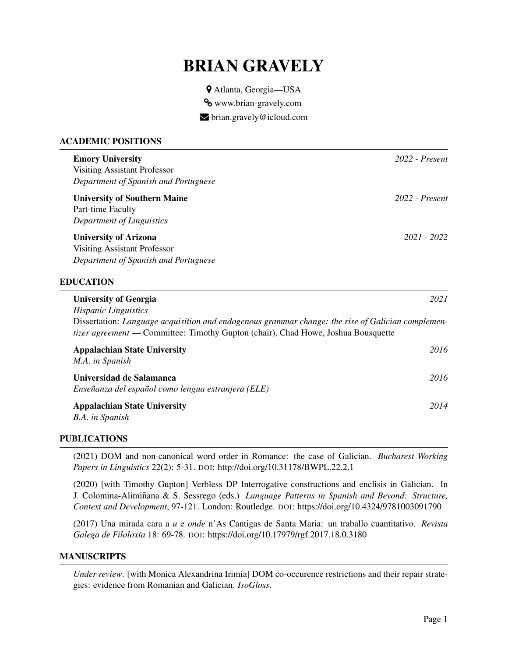# BRIAN GRAVELY

½ Atlanta, Georgia—USA ® www.brian-gravely.com  $\blacktriangleright$  brian.gravely@icloud.com

#### ACADEMIC POSITIONS

| <b>Emory University</b><br><b>Visiting Assistant Professor</b><br>Department of Spanish and Portuguese                                                                                                                                                       | $2022$ - Present |
|--------------------------------------------------------------------------------------------------------------------------------------------------------------------------------------------------------------------------------------------------------------|------------------|
| <b>University of Southern Maine</b><br>Part-time Faculty<br>Department of Linguistics                                                                                                                                                                        | $2022$ - Present |
| <b>University of Arizona</b><br><b>Visiting Assistant Professor</b><br>Department of Spanish and Portuguese                                                                                                                                                  | 2021 - 2022      |
| <b>EDUCATION</b>                                                                                                                                                                                                                                             |                  |
| <b>University of Georgia</b><br><b>Hispanic Linguistics</b><br>Dissertation: Language acquisition and endogenous grammar change: the rise of Galician complemen-<br><i>tizer agreement</i> — Committee: Timothy Gupton (chair), Chad Howe, Joshua Bousquette | 2021             |
| <b>Appalachian State University</b><br>M.A. in Spanish                                                                                                                                                                                                       | 2016             |
| Universidad de Salamanca<br>Enseñanza del español como lengua extranjera (ELE)                                                                                                                                                                               | 2016             |
| <b>Appalachian State University</b><br><b>B.A.</b> in Spanish                                                                                                                                                                                                | 2014             |

#### PUBLICATIONS

(2021) DOM and non-canonical word order in Romance: the case of Galician. *Bucharest Working Papers in Linguistics* 22(2): 5-31. DOI: http://doi.org/10.31178/BWPL.22.2.1

(2020) [with Timothy Gupton] Verbless DP Interrogative constructions and enclisis in Galician. In J. Colomina-Alimiñana & S. Sessrego (eds.) *Language Patterns in Spanish and Beyond: Structure*, *Context and Development*, 97-121. London: Routledge. DOI: https://doi.org/10.4324/9781003091790

(2017) Una mirada cara a *u* e *onde* n'As Cantigas de Santa Maria: un traballo cuantitativo. *Revista Galega de Filolox´ıa* 18: 69-78. DOI: https://doi.org/10.17979/rgf.2017.18.0.3180

#### **MANUSCRIPTS**

*Under review*. [with Monica Alexandrina Irimia] DOM co-occurence restrictions and their repair strategies: evidence from Romanian and Galician. *IsoGloss*.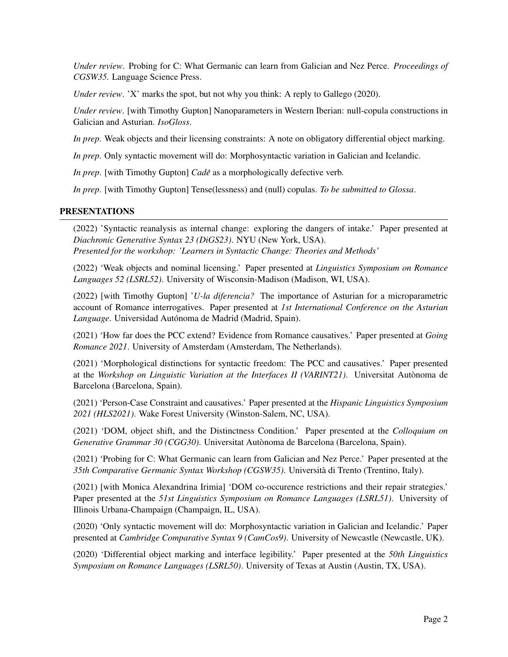*Under review*. Probing for C: What Germanic can learn from Galician and Nez Perce. *Proceedings of CGSW35.* Language Science Press.

*Under review*. 'X' marks the spot, but not why you think: A reply to Gallego (2020).

*Under review*. [with Timothy Gupton] Nanoparameters in Western Iberian: null-copula constructions in Galician and Asturian. *IsoGloss*.

*In prep*. Weak objects and their licensing constraints: A note on obligatory differential object marking.

*In prep*. Only syntactic movement will do: Morphosyntactic variation in Galician and Icelandic.

*In prep.* [with Timothy Gupton] *Cadê* as a morphologically defective verb.

*In prep*. [with Timothy Gupton] Tense(lessness) and (null) copulas. *To be submitted to Glossa*.

#### PRESENTATIONS

(2022) 'Syntactic reanalysis as internal change: exploring the dangers of intake.' Paper presented at *Diachronic Generative Syntax 23 (DiGS23)*. NYU (New York, USA). *Presented for the workshop: 'Learners in Syntactic Change: Theories and Methods'*

(2022) 'Weak objects and nominal licensing.' Paper presented at *Linguistics Symposium on Romance Languages 52 (LSRL52)*. University of Wisconsin-Madison (Madison, WI, USA).

(2022) [with Timothy Gupton] '*U-la diferencia?* The importance of Asturian for a microparametric account of Romance interrogatives. Paper presented at *1st International Conference on the Asturian* Language. Universidad Autónoma de Madrid (Madrid, Spain).

(2021) 'How far does the PCC extend? Evidence from Romance causatives.' Paper presented at *Going Romance 2021*. University of Amsterdam (Amsterdam, The Netherlands).

(2021) 'Morphological distinctions for syntactic freedom: The PCC and causatives.' Paper presented at the *Workshop on Linguistic Variation at the Interfaces II (VARINT21)*. Universitat Autonoma de ` Barcelona (Barcelona, Spain).

(2021) 'Person-Case Constraint and causatives.' Paper presented at the *Hispanic Linguistics Symposium 2021 (HLS2021)*. Wake Forest University (Winston-Salem, NC, USA).

(2021) 'DOM, object shift, and the Distinctness Condition.' Paper presented at the *Colloquium on Generative Grammar 30 (CGG30)*. Universitat Autònoma de Barcelona (Barcelona, Spain).

(2021) 'Probing for C: What Germanic can learn from Galician and Nez Perce.' Paper presented at the *35th Comparative Germanic Syntax Workshop (CGSW35)*. Universita di Trento (Trentino, Italy). `

(2021) [with Monica Alexandrina Irimia] 'DOM co-occurence restrictions and their repair strategies.' Paper presented at the *51st Linguistics Symposium on Romance Languages (LSRL51)*. University of Illinois Urbana-Champaign (Champaign, IL, USA).

(2020) 'Only syntactic movement will do: Morphosyntactic variation in Galician and Icelandic.' Paper presented at *Cambridge Comparative Syntax 9 (CamCos9)*. University of Newcastle (Newcastle, UK).

(2020) 'Differential object marking and interface legibility.' Paper presented at the *50th Linguistics Symposium on Romance Languages (LSRL50)*. University of Texas at Austin (Austin, TX, USA).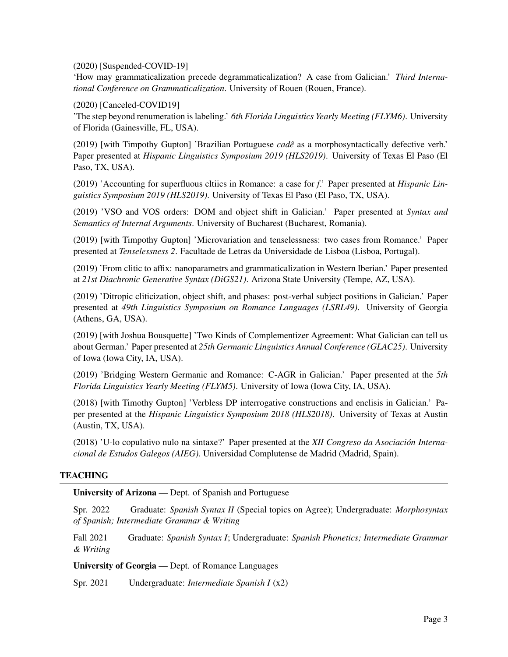(2020) [Suspended-COVID-19]

'How may grammaticalization precede degrammaticalization? A case from Galician.' *Third International Conference on Grammaticalization*. University of Rouen (Rouen, France).

(2020) [Canceled-COVID19]

'The step beyond renumeration is labeling.' *6th Florida Linguistics Yearly Meeting (FLYM6)*. University of Florida (Gainesville, FL, USA).

(2019) [with Timpothy Gupton] 'Brazilian Portuguese *cadeˆ* as a morphosyntactically defective verb.' Paper presented at *Hispanic Linguistics Symposium 2019 (HLS2019)*. University of Texas El Paso (El Paso, TX, USA).

(2019) 'Accounting for superfluous cltiics in Romance: a case for *f*.' Paper presented at *Hispanic Linguistics Symposium 2019 (HLS2019)*. University of Texas El Paso (El Paso, TX, USA).

(2019) 'VSO and VOS orders: DOM and object shift in Galician.' Paper presented at *Syntax and Semantics of Internal Arguments*. University of Bucharest (Bucharest, Romania).

(2019) [with Timpothy Gupton] 'Microvariation and tenselessness: two cases from Romance.' Paper presented at *Tenselessness 2*. Facultade de Letras da Universidade de Lisboa (Lisboa, Portugal).

(2019) 'From clitic to affix: nanoparametrs and grammaticalization in Western Iberian.' Paper presented at *21st Diachronic Generative Syntax (DiGS21)*. Arizona State University (Tempe, AZ, USA).

(2019) 'Ditropic cliticization, object shift, and phases: post-verbal subject positions in Galician.' Paper presented at *49th Linguistics Symposium on Romance Languages (LSRL49)*. University of Georgia (Athens, GA, USA).

(2019) [with Joshua Bousquette] 'Two Kinds of Complementizer Agreement: What Galician can tell us about German.' Paper presented at *25th Germanic Linguistics Annual Conference (GLAC25)*. University of Iowa (Iowa City, IA, USA).

(2019) 'Bridging Western Germanic and Romance: C-AGR in Galician.' Paper presented at the *5th Florida Linguistics Yearly Meeting (FLYM5)*. University of Iowa (Iowa City, IA, USA).

(2018) [with Timothy Gupton] 'Verbless DP interrogative constructions and enclisis in Galician.' Paper presented at the *Hispanic Linguistics Symposium 2018 (HLS2018)*. University of Texas at Austin (Austin, TX, USA).

(2018) 'U-lo copulativo nulo na sintaxe?' Paper presented at the *XII Congreso da Asociacion Interna- ´ cional de Estudos Galegos (AIEG)*. Universidad Complutense de Madrid (Madrid, Spain).

#### TEACHING

University of Arizona — Dept. of Spanish and Portuguese

Spr. 2022 Graduate: *Spanish Syntax II* (Special topics on Agree); Undergraduate: *Morphosyntax of Spanish; Intermediate Grammar & Writing*

Fall 2021 Graduate: *Spanish Syntax I*; Undergraduate: *Spanish Phonetics; Intermediate Grammar & Writing*

University of Georgia — Dept. of Romance Languages

Spr. 2021 Undergraduate: *Intermediate Spanish I* (x2)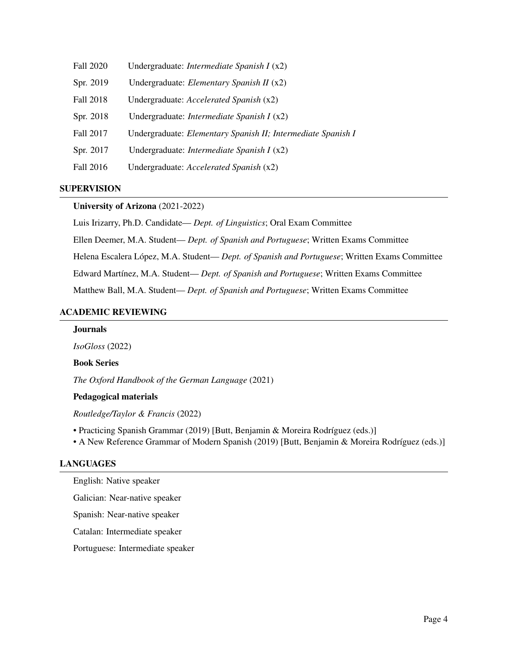| Fall 2020 | Undergraduate: <i>Intermediate Spanish I</i> $(x2)$          |
|-----------|--------------------------------------------------------------|
| Spr. 2019 | Undergraduate: <i>Elementary Spanish II</i> (x2)             |
| Fall 2018 | Undergraduate: Accelerated Spanish (x2)                      |
| Spr. 2018 | Undergraduate: <i>Intermediate Spanish I</i> $(x2)$          |
| Fall 2017 | Undergraduate: Elementary Spanish II; Intermediate Spanish I |
| Spr. 2017 | Undergraduate: <i>Intermediate Spanish I</i> $(x2)$          |
| Fall 2016 | Undergraduate: <i>Accelerated Spanish</i> (x2)               |
|           |                                                              |

#### **SUPERVISION**

#### University of Arizona (2021-2022)

Luis Irizarry, Ph.D. Candidate— *Dept. of Linguistics*; Oral Exam Committee

Ellen Deemer, M.A. Student— *Dept. of Spanish and Portuguese*; Written Exams Committee

Helena Escalera López, M.A. Student— *Dept. of Spanish and Portuguese*; Written Exams Committee

Edward Martínez, M.A. Student— *Dept. of Spanish and Portuguese*; Written Exams Committee

Matthew Ball, M.A. Student— *Dept. of Spanish and Portuguese*; Written Exams Committee

#### ACADEMIC REVIEWING

# **Journals** *IsoGloss* (2022) Book Series *The Oxford Handbook of the German Language* (2021) Pedagogical materials *Routledge/Taylor & Francis* (2022) • Practicing Spanish Grammar (2019) [Butt, Benjamin & Moreira Rodríguez (eds.)] • A New Reference Grammar of Modern Spanish (2019) [Butt, Benjamin & Moreira Rodríguez (eds.)] LANGUAGES

English: Native speaker

Galician: Near-native speaker

Spanish: Near-native speaker

Catalan: Intermediate speaker

Portuguese: Intermediate speaker